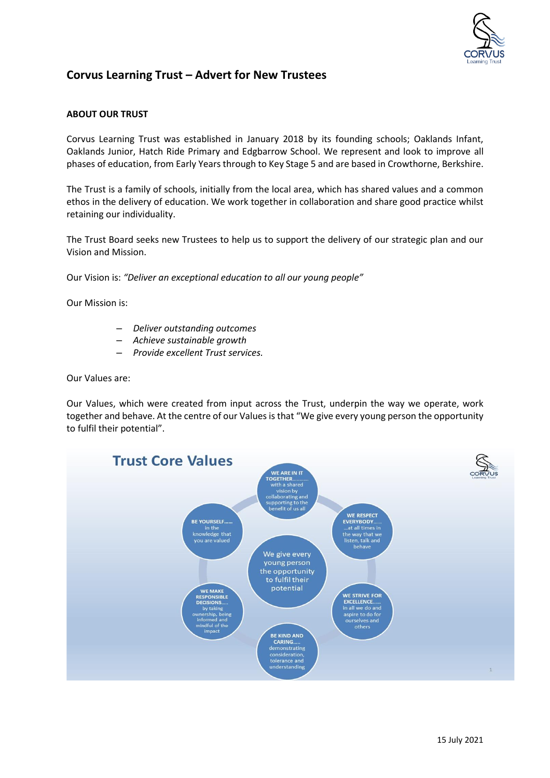

## **Corvus Learning Trust – Advert for New Trustees**

## **ABOUT OUR TRUST**

Corvus Learning Trust was established in January 2018 by its founding schools; Oaklands Infant, Oaklands Junior, Hatch Ride Primary and Edgbarrow School. We represent and look to improve all phases of education, from Early Years through to Key Stage 5 and are based in Crowthorne, Berkshire.

The Trust is a family of schools, initially from the local area, which has shared values and a common ethos in the delivery of education. We work together in collaboration and share good practice whilst retaining our individuality.

The Trust Board seeks new Trustees to help us to support the delivery of our strategic plan and our Vision and Mission.

Our Vision is: *"Deliver an exceptional education to all our young people"*

Our Mission is:

- *Deliver outstanding outcomes*
- *Achieve sustainable growth*
- *Provide excellent Trust services.*

Our Values are:

Our Values, which were created from input across the Trust, underpin the way we operate, work together and behave. At the centre of our Values is that "We give every young person the opportunity to fulfil their potential".